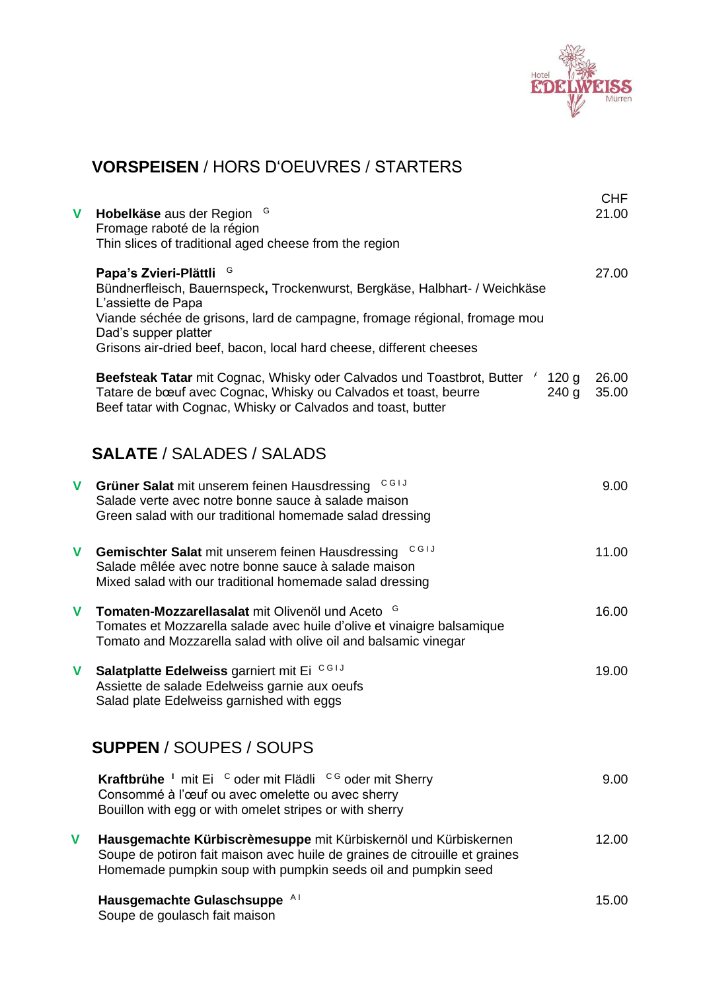

## **VORSPEISEN** / HORS D'OEUVRES / STARTERS

| V | G<br>Hobelkäse aus der Region<br>Fromage raboté de la région<br>Thin slices of traditional aged cheese from the region                                                                                                                                                                                             | <b>CHF</b><br>21.00 |
|---|--------------------------------------------------------------------------------------------------------------------------------------------------------------------------------------------------------------------------------------------------------------------------------------------------------------------|---------------------|
|   | Papa's Zvieri-Plättli <sup>G</sup><br>Bündnerfleisch, Bauernspeck, Trockenwurst, Bergkäse, Halbhart- / Weichkäse<br>L'assiette de Papa<br>Viande séchée de grisons, lard de campagne, fromage régional, fromage mou<br>Dad's supper platter<br>Grisons air-dried beef, bacon, local hard cheese, different cheeses | 27.00               |
|   | Beefsteak Tatar mit Cognac, Whisky oder Calvados und Toastbrot, Butter<br>$\overline{f}$<br>120 <sub>g</sub><br>Tatare de bœuf avec Cognac, Whisky ou Calvados et toast, beurre<br>240 g<br>Beef tatar with Cognac, Whisky or Calvados and toast, butter                                                           | 26.00<br>35.00      |
|   | <b>SALATE</b> / SALADES / SALADS                                                                                                                                                                                                                                                                                   |                     |
| V | CGIJ<br>Grüner Salat mit unserem feinen Hausdressing<br>Salade verte avec notre bonne sauce à salade maison<br>Green salad with our traditional homemade salad dressing                                                                                                                                            | 9.00                |
| V | <b>CGIJ</b><br>Gemischter Salat mit unserem feinen Hausdressing<br>Salade mêlée avec notre bonne sauce à salade maison<br>Mixed salad with our traditional homemade salad dressing                                                                                                                                 | 11.00               |
| V | Tomaten-Mozzarellasalat mit Olivenöl und Aceto <sup>G</sup><br>Tomates et Mozzarella salade avec huile d'olive et vinaigre balsamique<br>Tomato and Mozzarella salad with olive oil and balsamic vinegar                                                                                                           | 16.00               |
| V | Salatplatte Edelweiss garniert mit Ei CGIJ<br>Assiette de salade Edelweiss garnie aux oeufs<br>Salad plate Edelweiss garnished with eggs                                                                                                                                                                           | 19.00               |
|   | <b>SUPPEN / SOUPES / SOUPS</b>                                                                                                                                                                                                                                                                                     |                     |
|   | Kraftbrühe <sup>1</sup> mit Ei <sup>c</sup> oder mit Flädli <sup>c G</sup> oder mit Sherry<br>Consommé à l'œuf ou avec omelette ou avec sherry<br>Bouillon with egg or with omelet stripes or with sherry                                                                                                          | 9.00                |
| V | Hausgemachte Kürbiscrèmesuppe mit Kürbiskernöl und Kürbiskernen<br>Soupe de potiron fait maison avec huile de graines de citrouille et graines<br>Homemade pumpkin soup with pumpkin seeds oil and pumpkin seed                                                                                                    | 12.00               |
|   | Hausgemachte Gulaschsuppe Al<br>Soupe de goulasch fait maison                                                                                                                                                                                                                                                      | 15.00               |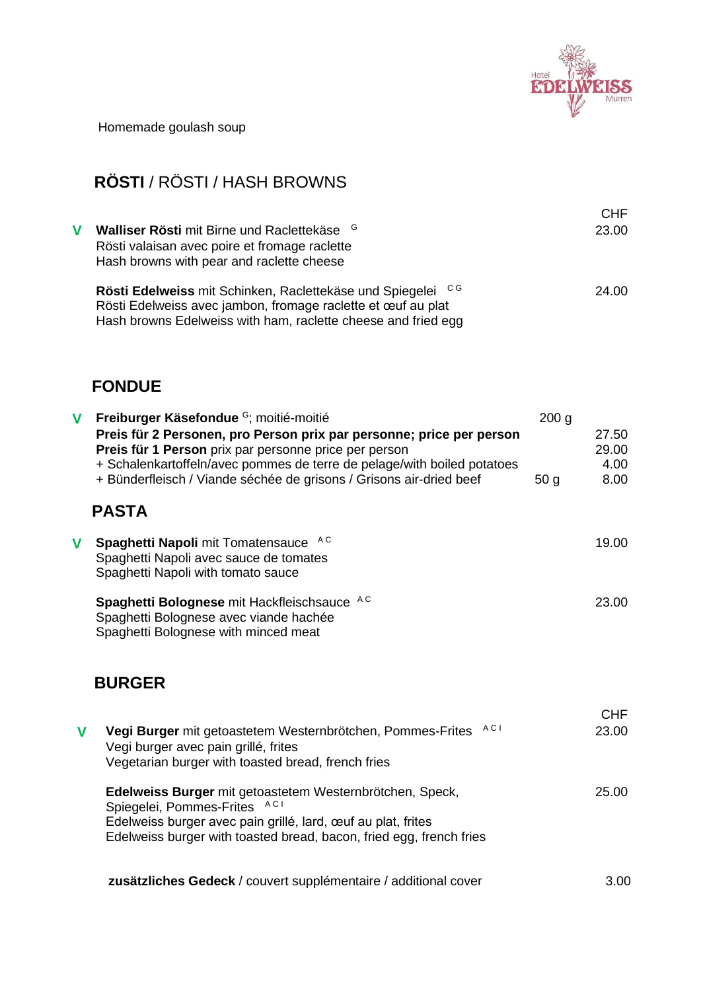

Homemade goulash soup

# **RÖSTI** / RÖSTI / HASH BROWNS

| V | Walliser Rösti mit Birne und Raclettekäse <sup>G</sup><br>Rösti valaisan avec poire et fromage raclette<br>Hash browns with pear and raclette cheese                                         | <b>CHF</b><br>23.00 |
|---|----------------------------------------------------------------------------------------------------------------------------------------------------------------------------------------------|---------------------|
|   | Rösti Edelweiss mit Schinken, Raclettekäse und Spiegelei CG<br>Rösti Edelweiss avec jambon, fromage raclette et œuf au plat<br>Hash browns Edelweiss with ham, raclette cheese and fried egg | 24.00               |

#### **FONDUE**

| V | Freiburger Käsefondue <sup>G</sup> ; moitié-moitié<br>Preis für 2 Personen, pro Person prix par personne; price per person<br>Preis für 1 Person prix par personne price per person<br>+ Schalenkartoffeln/avec pommes de terre de pelage/with boiled potatoes | 200 <sub>g</sub> | 27.50<br>29.00<br>4.00 |
|---|----------------------------------------------------------------------------------------------------------------------------------------------------------------------------------------------------------------------------------------------------------------|------------------|------------------------|
|   | + Bünderfleisch / Viande séchée de grisons / Grisons air-dried beef<br><b>PASTA</b>                                                                                                                                                                            | 50 <sub>q</sub>  | 8.00                   |
| v | A C<br>Spaghetti Napoli mit Tomatensauce<br>Spaghetti Napoli avec sauce de tomates<br>Spaghetti Napoli with tomato sauce                                                                                                                                       |                  | 19.00                  |
|   | Spaghetti Bolognese mit Hackfleischsauce AC<br>Spaghetti Bolognese avec viande hachée<br>Spaghetti Bolognese with minced meat                                                                                                                                  |                  | 23.00                  |
|   | <b>BURGER</b>                                                                                                                                                                                                                                                  |                  |                        |
| V | AC <sub>I</sub><br>Vegi Burger mit getoastetem Westernbrötchen, Pommes-Frites<br>Vegi burger avec pain grillé, frites<br>Vegetarian burger with toasted bread, french fries                                                                                    |                  | <b>CHF</b><br>23.00    |
|   | Edelweiss Burger mit getoastetem Westernbrötchen, Speck,                                                                                                                                                                                                       |                  | 25.00                  |

Spiegelei, Pommes-Frites ACI Edelweiss burger avec pain grillé, lard, œuf au plat, frites Edelweiss burger with toasted bread, bacon, fried egg, french fries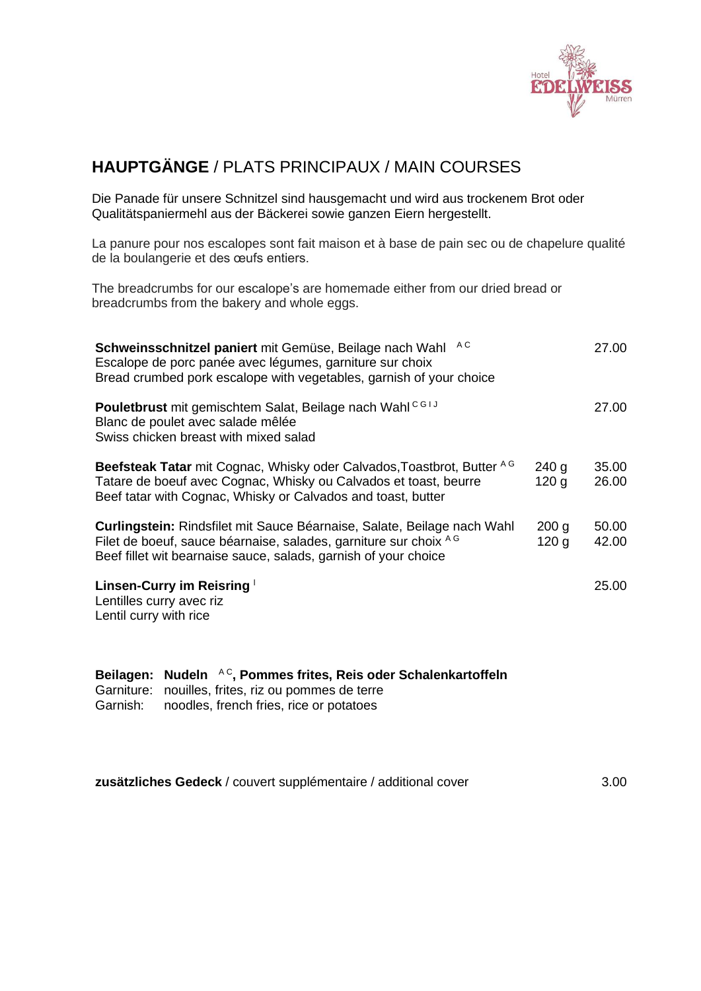

### **HAUPTGÄNGE** / PLATS PRINCIPAUX / MAIN COURSES

Die Panade für unsere Schnitzel sind hausgemacht und wird aus trockenem Brot oder Qualitätspaniermehl aus der Bäckerei sowie ganzen Eiern hergestellt.

La panure pour nos escalopes sont fait maison et à base de pain sec ou de chapelure qualité de la boulangerie et des œufs entiers.

The breadcrumbs for our escalope's are homemade either from our dried bread or breadcrumbs from the bakery and whole eggs.

| A C<br>Schweinsschnitzel paniert mit Gemüse, Beilage nach Wahl<br>Escalope de porc panée avec légumes, garniture sur choix<br>Bread crumbed pork escalope with vegetables, garnish of your choice              |                                      | 27.00          |
|----------------------------------------------------------------------------------------------------------------------------------------------------------------------------------------------------------------|--------------------------------------|----------------|
| Pouletbrust mit gemischtem Salat, Beilage nach Wahl <sup>CG1J</sup><br>Blanc de poulet avec salade mêlée<br>Swiss chicken breast with mixed salad                                                              |                                      | 27.00          |
| Beefsteak Tatar mit Cognac, Whisky oder Calvados, Toastbrot, Butter AG<br>Tatare de boeuf avec Cognac, Whisky ou Calvados et toast, beurre<br>Beef tatar with Cognac, Whisky or Calvados and toast, butter     | 240 g<br>120 <sub>q</sub>            | 35.00<br>26.00 |
| Curlingstein: Rindsfilet mit Sauce Béarnaise, Salate, Beilage nach Wahl<br>Filet de boeuf, sauce béarnaise, salades, garniture sur choix AG<br>Beef fillet wit bearnaise sauce, salads, garnish of your choice | 200 <sub>q</sub><br>120 <sub>q</sub> | 50.00<br>42.00 |
| Linsen-Curry im Reisring<br>Lentilles curry avec riz<br>Lentil curry with rice                                                                                                                                 |                                      | 25.00          |

|  |  |  | Beilagen: Nudeln AC, Pommes frites, Reis oder Schalenkartoffeln |
|--|--|--|-----------------------------------------------------------------|
|--|--|--|-----------------------------------------------------------------|

Garniture: nouilles, frites, riz ou pommes de terre Garnish: noodles, french fries, rice or potatoes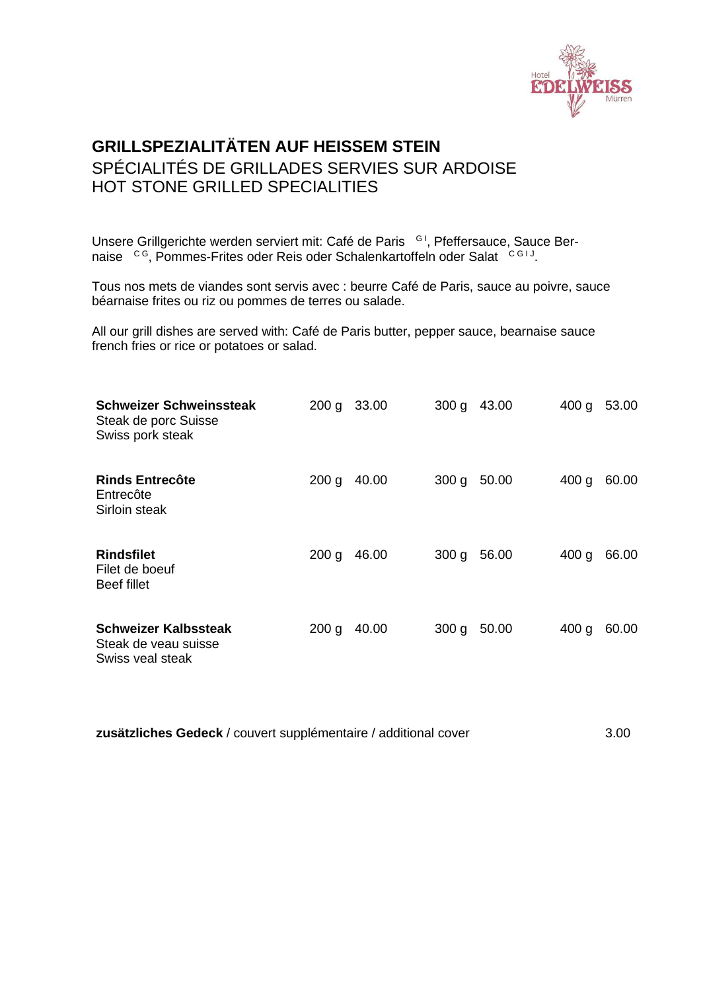

### **GRILLSPEZIALITÄTEN AUF HEISSEM STEIN** SPÉCIALITÉS DE GRILLADES SERVIES SUR ARDOISE HOT STONE GRILLED SPECIALITIES

Unsere Grillgerichte werden serviert mit: Café de Paris <sup>GI</sup>, Pfeffersauce, Sauce Bernaise <sup>CG</sup>, Pommes-Frites oder Reis oder Schalenkartoffeln oder Salat CGIJ.

Tous nos mets de viandes sont servis avec : beurre Café de Paris, sauce au poivre, sauce béarnaise frites ou riz ou pommes de terres ou salade.

All our grill dishes are served with: Café de Paris butter, pepper sauce, bearnaise sauce french fries or rice or potatoes or salad.

| <b>Schweizer Schweinssteak</b><br>Steak de porc Suisse<br>Swiss pork steak | 200 g | 33.00 | 300 g            | 43.00 | 400 g            | 53.00 |
|----------------------------------------------------------------------------|-------|-------|------------------|-------|------------------|-------|
| <b>Rinds Entrecôte</b><br>Entrecôte<br>Sirloin steak                       | 200 g | 40.00 | 300 <sub>g</sub> | 50.00 | 400 g            | 60.00 |
| <b>Rindsfilet</b><br>Filet de boeuf<br>Beef fillet                         | 200 g | 46.00 | 300 g            | 56.00 | 400 g            | 66.00 |
| <b>Schweizer Kalbssteak</b><br>Steak de veau suisse<br>Swiss veal steak    | 200 g | 40.00 | 300 g            | 50.00 | 400 <sub>g</sub> | 60.00 |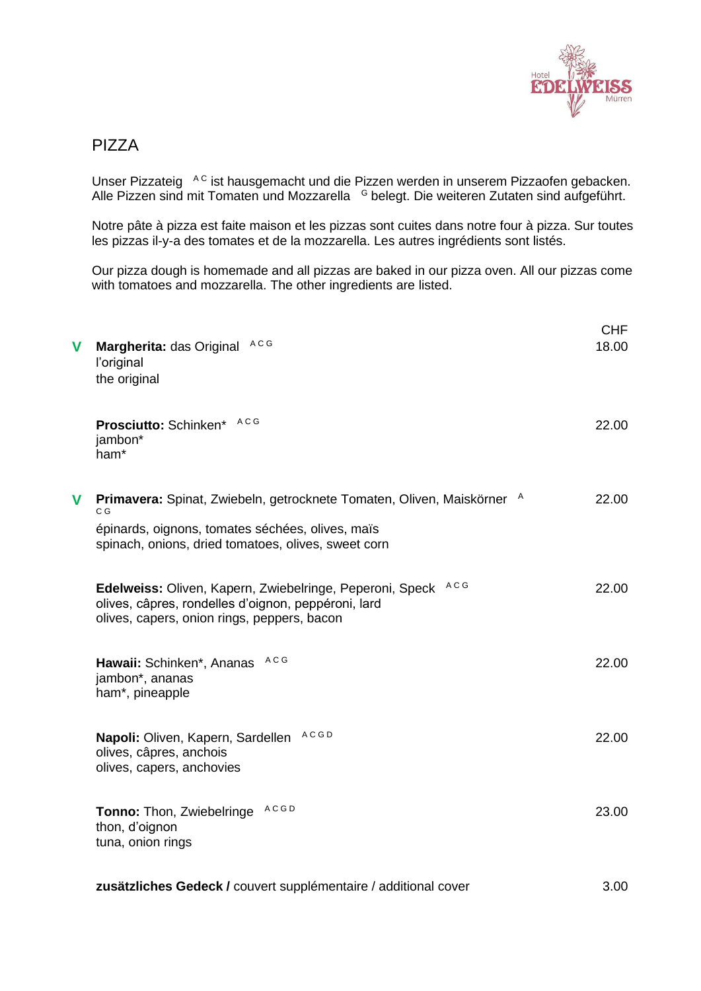

#### PIZZA

Unser Pizzateig <sup>A C</sup> ist hausgemacht und die Pizzen werden in unserem Pizzaofen gebacken. Alle Pizzen sind mit Tomaten und Mozzarella <sup>G</sup> belegt. Die weiteren Zutaten sind aufgeführt.

Notre pâte à pizza est faite maison et les pizzas sont cuites dans notre four à pizza. Sur toutes les pizzas il-y-a des tomates et de la mozzarella. Les autres ingrédients sont listés.

Our pizza dough is homemade and all pizzas are baked in our pizza oven. All our pizzas come with tomatoes and mozzarella. The other ingredients are listed.

| V | A C G<br>Margherita: das Original<br>l'original<br>the original                                                                                                                          | <b>CHF</b><br>18.00 |
|---|------------------------------------------------------------------------------------------------------------------------------------------------------------------------------------------|---------------------|
|   | Prosciutto: Schinken* ACG<br>jambon*<br>ham*                                                                                                                                             | 22.00               |
| V | Primavera: Spinat, Zwiebeln, getrocknete Tomaten, Oliven, Maiskörner A<br>C G<br>épinards, oignons, tomates séchées, olives, maïs<br>spinach, onions, dried tomatoes, olives, sweet corn | 22.00               |
|   | A C G<br>Edelweiss: Oliven, Kapern, Zwiebelringe, Peperoni, Speck<br>olives, câpres, rondelles d'oignon, peppéroni, lard<br>olives, capers, onion rings, peppers, bacon                  | 22.00               |
|   | A C G<br>Hawaii: Schinken*, Ananas<br>jambon*, ananas<br>ham*, pineapple                                                                                                                 | 22.00               |
|   | <b>ACGD</b><br>Napoli: Oliven, Kapern, Sardellen<br>olives, câpres, anchois<br>olives, capers, anchovies                                                                                 | 22.00               |
|   | <b>ACGD</b><br>Tonno: Thon, Zwiebelringe<br>thon, d'oignon<br>tuna, onion rings                                                                                                          | 23.00               |